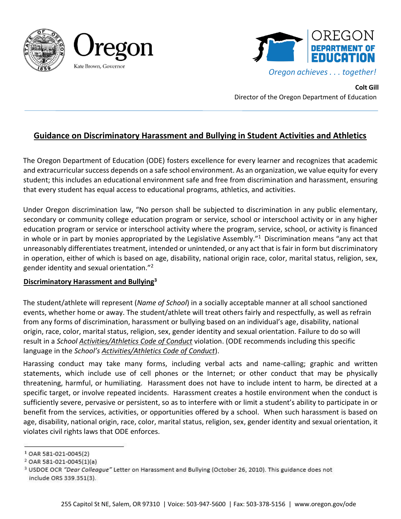



**Colt Gill**  Director of the Oregon Department of Education

## **Guidance on Discriminatory Harassment and Bullying in Student Activities and Athletics**

The Oregon Department of Education (ODE) fosters excellence for every learner and recognizes that academic and extracurricular success depends on a safe school environment. As an organization, we value equity for every student; this includes an educational environment safe and free from discrimination and harassment, ensuring that every student has equal access to educational programs, athletics, and activities.

Under Oregon discrimination law, "No person shall be subjected to discrimination in any public elementary, secondary or community college education program or service, school or interschool activity or in any higher education program or service or interschool activity where the program, service, school, or activity is financed in whole or in part by monies appropriated by the Legislative Assembly. $11$  Discrimination means "any act that unreasonably differentiates treatment, intended or unintended, or any act that is fair in form but discriminatory in operation, either of which is based on age, disability, national origin race, color, marital status, religion, sex, gender identity and sexual orientation."<sup>2</sup>

## **Discriminatory Harassment and Bullying<sup>3</sup>**

The student/athlete will represent (*Name of School*) in a socially acceptable manner at all school sanctioned events, whether home or away. The student/athlete will treat others fairly and respectfully, as well as refrain from any forms of discrimination, harassment or bullying based on an individual's age, disability, national origin, race, color, marital status, religion, sex, gender identity and sexual orientation. Failure to do so will result in a *School Activities/Athletics Code of Conduct* violation. (ODE recommends including this specific language in the *School's Activities/Athletics Code of Conduct*).

Harassing conduct may take many forms, including verbal acts and name-calling; graphic and written statements, which include use of cell phones or the Internet; or other conduct that may be physically threatening, harmful, or humiliating. Harassment does not have to include intent to harm, be directed at a specific target, or involve repeated incidents. Harassment creates a hostile environment when the conduct is sufficiently severe, pervasive or persistent, so as to interfere with or limit a student's ability to participate in or benefit from the services, activities, or opportunities offered by a school. When such harassment is based on age, disability, national origin, race, color, marital status, religion, sex, gender identity and sexual orientation, it violates civil rights laws that ODE enforces.

<sup>&</sup>lt;sup>1</sup> OAR 581-021-0045(2)

<sup>&</sup>lt;sup>2</sup> OAR 581-021-0045(1)(a)

<sup>&</sup>lt;sup>3</sup> USDOE OCR "Dear Colleague" Letter on Harassment and Bullying (October 26, 2010). This guidance does not include ORS 339.351(3).